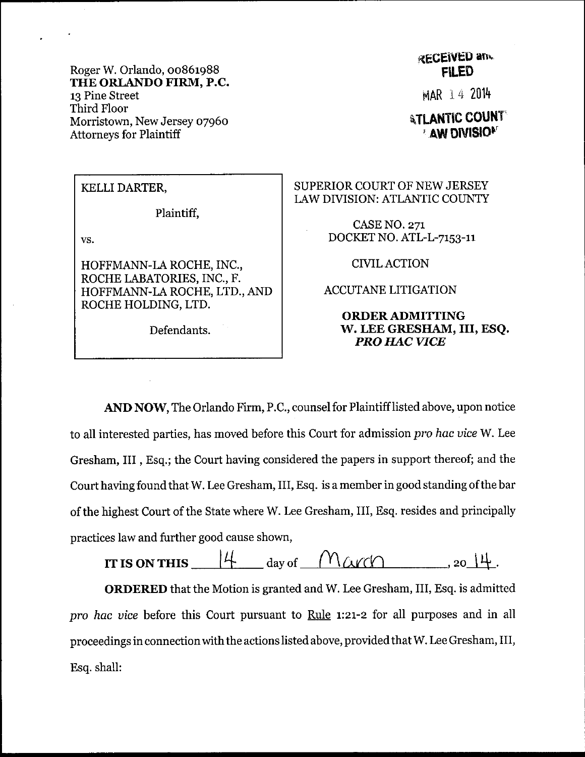Roger W. Orlando, 00861988 THE ORLANDO FIRM, P.C. 13 Pine Street Third Floor Morristown, New Jersey 07960 **Attorneys for Plaintiff** 

## **RECEIVED and FILED**

MAR 14 2014

**ATLANTIC COUNT AW DIVISION** 

## KELLI DARTER,

Plaintiff,

VS.

HOFFMANN-LA ROCHE, INC., ROCHE LABATORIES, INC., F. HOFFMANN-LA ROCHE, LTD., AND ROCHE HOLDING, LTD.

Defendants.

SUPERIOR COURT OF NEW JERSEY LAW DIVISION: ATLANTIC COUNTY

> **CASE NO. 271** DOCKET NO. ATL-L-7153-11

> > **CIVIL ACTION**

**ACCUTANE LITIGATION** 

## **ORDER ADMITTING** W. LEE GRESHAM, III, ESQ. **PRO HAC VICE**

AND NOW, The Orlando Firm, P.C., counsel for Plaintiff listed above, upon notice to all interested parties, has moved before this Court for admission pro hac vice W. Lee Gresham, III, Esq.; the Court having considered the papers in support thereof; and the Court having found that W. Lee Gresham, III, Esq. is a member in good standing of the bar of the highest Court of the State where W. Lee Gresham, III, Esq. resides and principally practices law and further good cause shown,

 $\left| \begin{matrix} 4 & \end{matrix} \right|$  day of  $\overline{\phantom{0}}$  $M\alpha r\alpha$  . 20  $14$ . IT IS ON THIS

ORDERED that the Motion is granted and W. Lee Gresham, III, Esq. is admitted pro hac vice before this Court pursuant to Rule 1:21-2 for all purposes and in all proceedings in connection with the actions listed above, provided that W. Lee Gresham, III, Esq. shall: